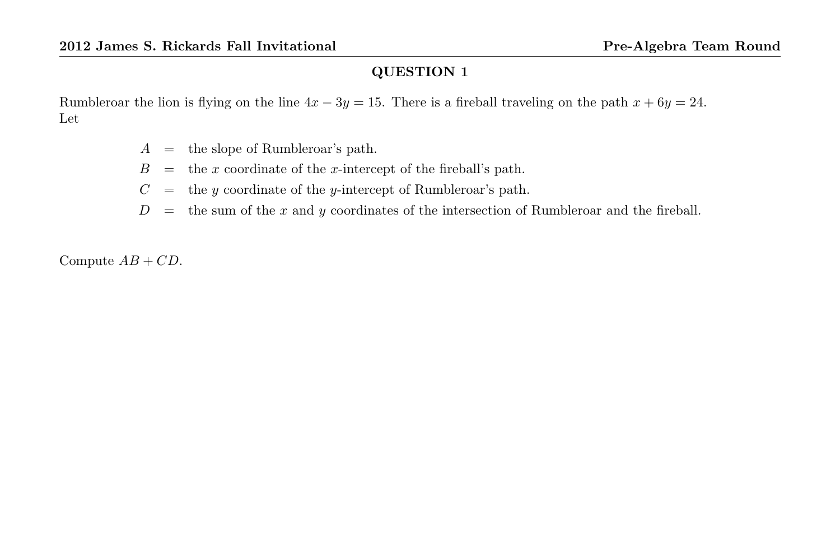Rumbleroar the lion is flying on the line  $4x - 3y = 15$ . There is a fireball traveling on the path  $x + 6y = 24$ . Let

- $A =$  the slope of Rumbleroar's path.
- $B =$  the x coordinate of the x-intercept of the fireball's path.
- $C =$  the y coordinate of the y-intercept of Rumbleroar's path.
- $D =$  the sum of the x and y coordinates of the intersection of Rumbleroar and the fireball.

Compute  $AB + CD$ .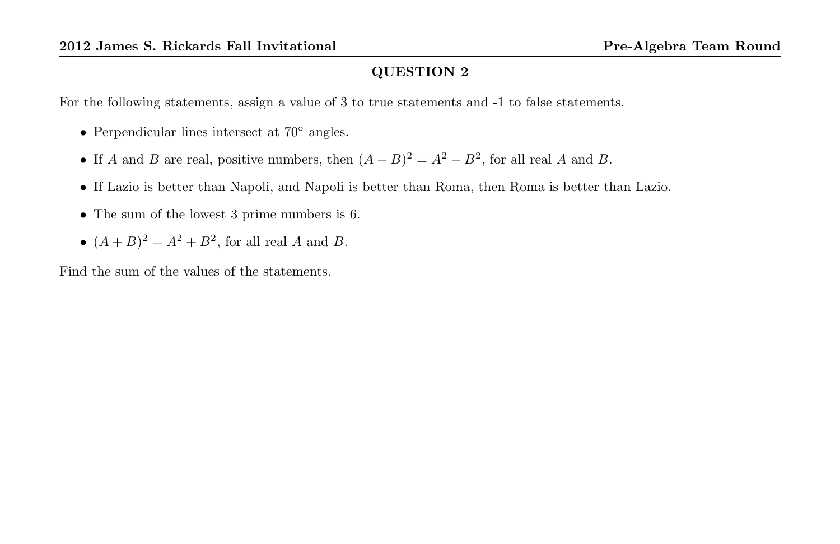For the following statements, assign a value of 3 to true statements and -1 to false statements.

- Perpendicular lines intersect at 70◦ angles.
- If A and B are real, positive numbers, then  $(A B)^2 = A^2 B^2$ , for all real A and B.
- If Lazio is better than Napoli, and Napoli is better than Roma, then Roma is better than Lazio.
- The sum of the lowest 3 prime numbers is 6.
- $(A + B)^2 = A^2 + B^2$ , for all real A and B.

Find the sum of the values of the statements.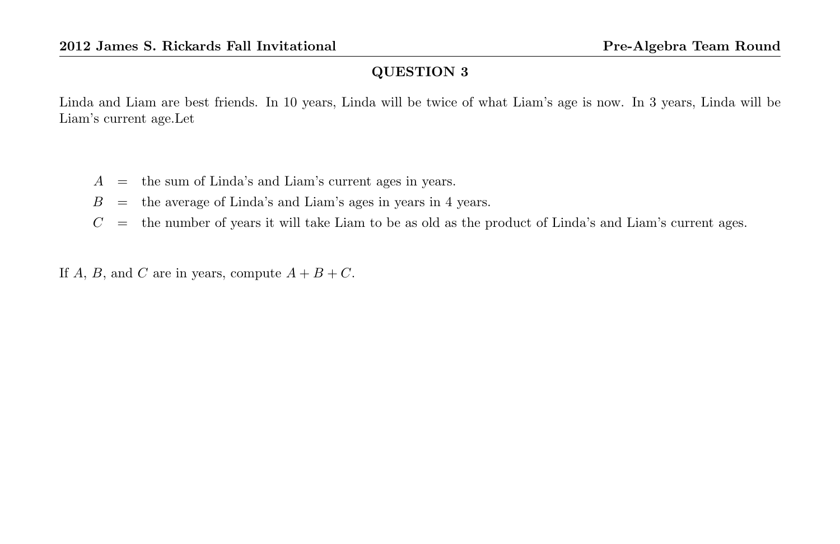Linda and Liam are best friends. In 10 years, Linda will be twice of what Liam's age is now. In 3 years, Linda will be Liam's current age.Let

- $A =$  the sum of Linda's and Liam's current ages in years.
- $B =$  the average of Linda's and Liam's ages in years in 4 years.
- $C =$  the number of years it will take Liam to be as old as the product of Linda's and Liam's current ages.

If A, B, and C are in years, compute  $A + B + C$ .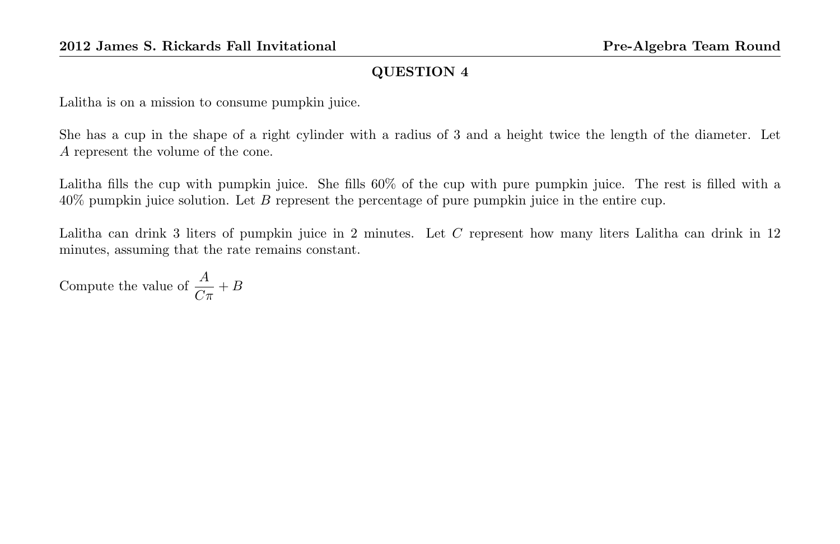Lalitha is on a mission to consume pumpkin juice.

She has a cup in the shape of a right cylinder with a radius of 3 and a height twice the length of the diameter. Let A represent the volume of the cone.

Lalitha fills the cup with pumpkin juice. She fills 60% of the cup with pure pumpkin juice. The rest is filled with a 40% pumpkin juice solution. Let B represent the percentage of pure pumpkin juice in the entire cup.

Lalitha can drink 3 liters of pumpkin juice in 2 minutes. Let C represent how many liters Lalitha can drink in 12 minutes, assuming that the rate remains constant.

Compute the value of  $\frac{A}{C\pi} + B$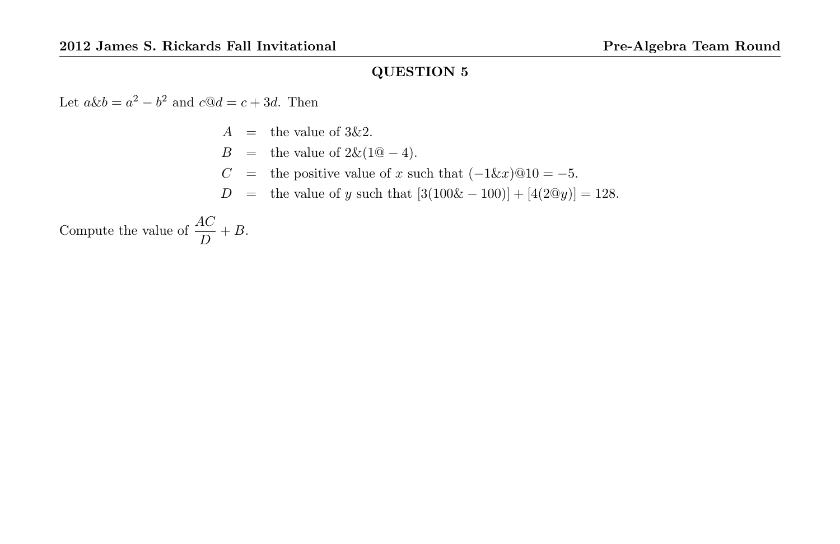Let  $a\&b = a^2 - b^2$  and  $c@d = c + 3d$ . Then

- $A =$  the value of  $3\&2$ .
- $B =$  the value of  $2\&(1@-4).$
- C = the positive value of x such that  $(-1 \& x)@10 = -5$ .
- D = the value of y such that  $[3(100&-100)] + [4(2@y)] = 128$ .

Compute the value of  $\frac{AC}{D} + B$ .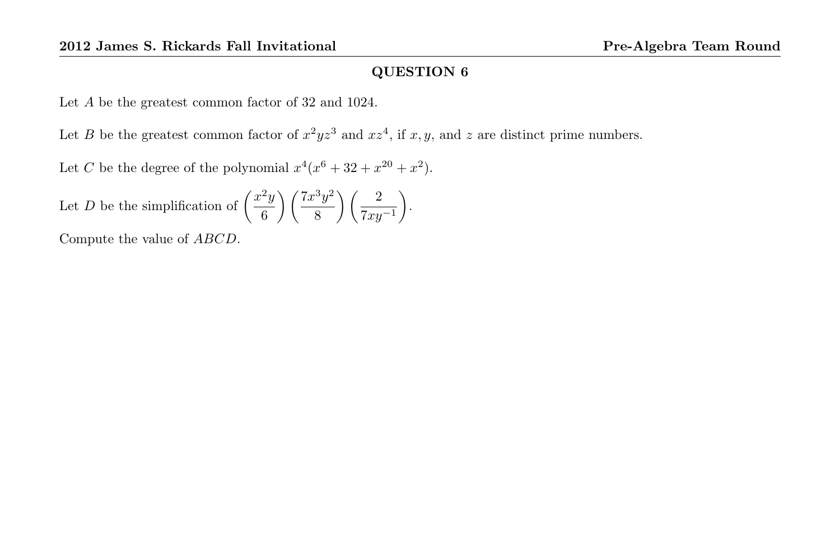Let A be the greatest common factor of 32 and 1024.

Let B be the greatest common factor of  $x^2yz^3$  and  $xz^4$ , if  $x, y$ , and z are distinct prime numbers.

Let C be the degree of the polynomial  $x^4(x^6 + 32 + x^{20} + x^2)$ .

Let D be the simplification of  $\left(\frac{x^2y}{c}\right)$ 6  $\left(7x^3y^2\right)$ 8  $\setminus$   $\begin{array}{ccc} 2 \end{array}$  $7xy^{-1}$ .

Compute the value of ABCD.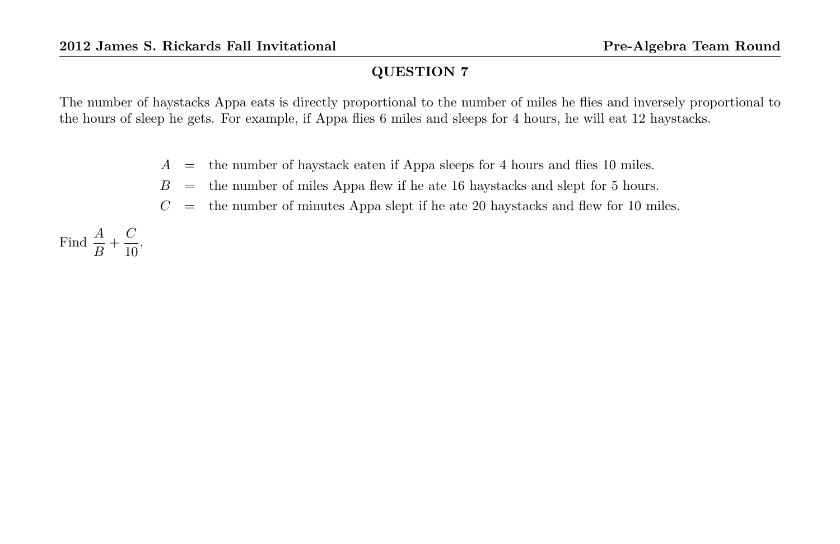The number of haystacks Appa eats is directly proportional to the number of miles he flies and inversely proportional to the hours of sleep he gets. For example, if Appa flies 6 miles and sleeps for 4 hours, he will eat 12 haystacks.

 $A =$  the number of haystack eaten if Appa sleeps for 4 hours and flies 10 miles.

 $B =$  the number of miles Appa flew if he ate 16 haystacks and slept for 5 hours.

 $C =$  the number of minutes Appa slept if he ate 20 haystacks and flew for 10 miles.

Find  $\frac{A}{B} + \frac{C}{10}$  $\frac{6}{10}$ .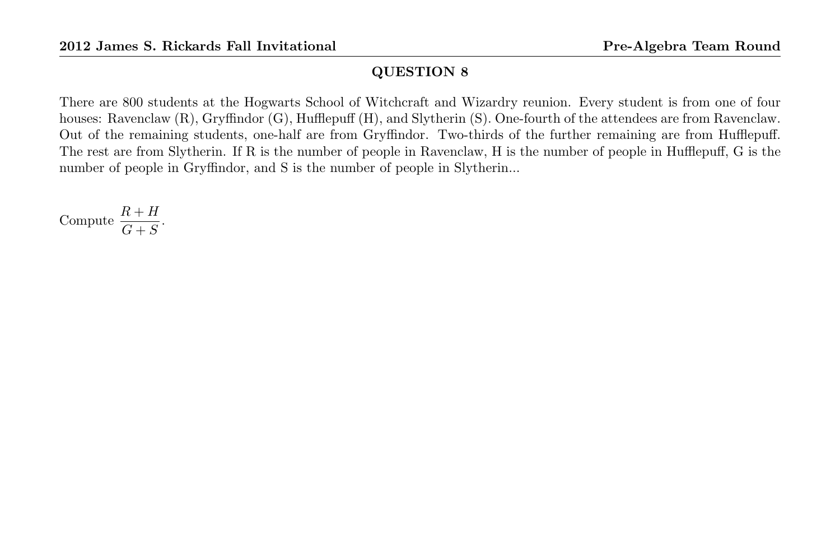There are 800 students at the Hogwarts School of Witchcraft and Wizardry reunion. Every student is from one of four houses: Ravenclaw  $(R)$ , Gryffindor  $(G)$ , Hufflepuff  $(H)$ , and Slytherin  $(S)$ . One-fourth of the attendees are from Ravenclaw. Out of the remaining students, one-half are from Gryffindor. Two-thirds of the further remaining are from Hufflepuff. The rest are from Slytherin. If R is the number of people in Ravenclaw, H is the number of people in Hufflepuff, G is the number of people in Gryffindor, and S is the number of people in Slytherin...

Compute 
$$
\frac{R+H}{G+S}.
$$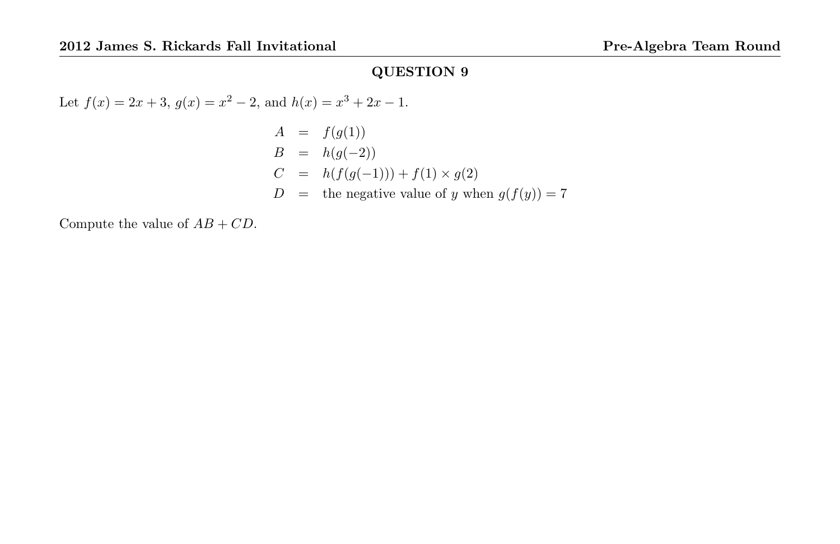Let  $f(x) = 2x + 3$ ,  $g(x) = x^2 - 2$ , and  $h(x) = x^3 + 2x - 1$ .

$$
A = f(g(1))
$$
  
\n
$$
B = h(g(-2))
$$
  
\n
$$
C = h(f(g(-1))) + f(1) \times g(2)
$$
  
\n
$$
D = \text{the negative value of } y \text{ when } g(f(y)) = 7
$$

Compute the value of  $AB + CD$ .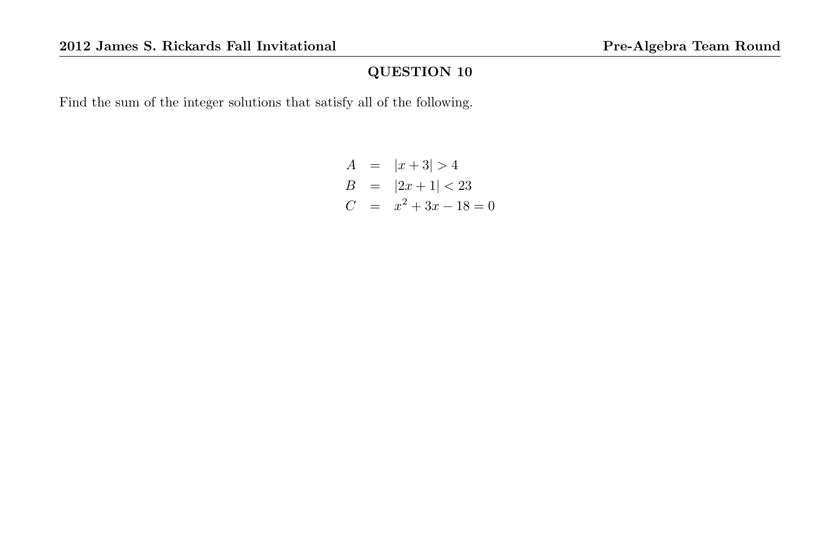Find the sum of the integer solutions that satisfy all of the following.

$$
A = |x+3| > 4
$$
  
\n
$$
B = |2x+1| < 23
$$
  
\n
$$
C = x^2 + 3x - 18 = 0
$$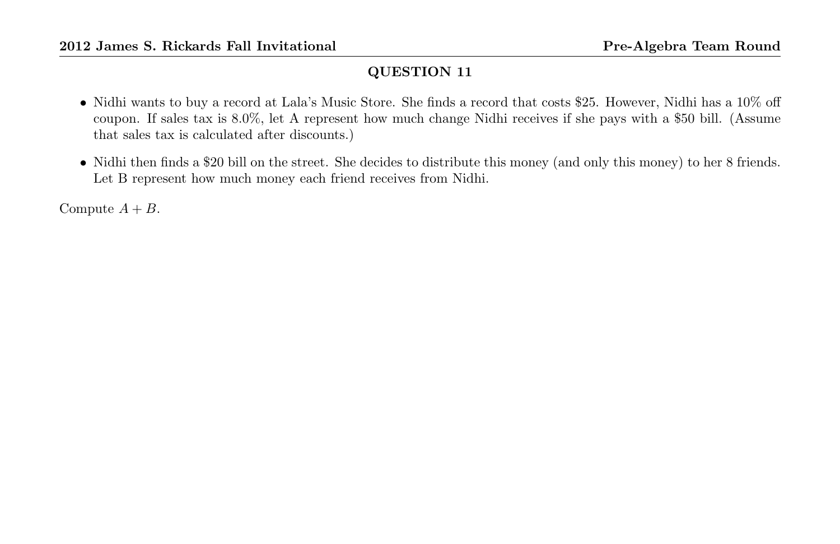- Nidhi wants to buy a record at Lala's Music Store. She finds a record that costs \$25. However, Nidhi has a 10% off coupon. If sales tax is 8.0%, let A represent how much change Nidhi receives if she pays with a \$50 bill. (Assume that sales tax is calculated after discounts.)
- Nidhi then finds a \$20 bill on the street. She decides to distribute this money (and only this money) to her 8 friends. Let B represent how much money each friend receives from Nidhi.

Compute  $A + B$ .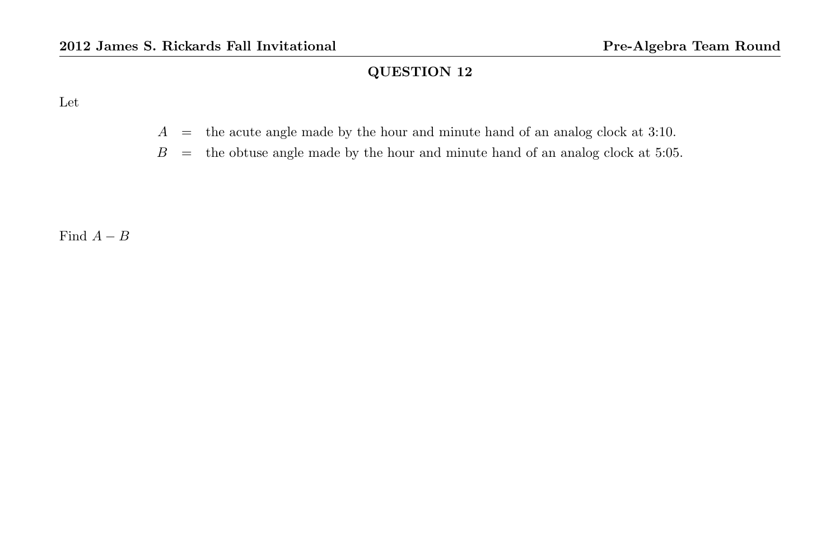Let

- $A =$  the acute angle made by the hour and minute hand of an analog clock at 3:10.
- $B =$  the obtuse angle made by the hour and minute hand of an analog clock at 5:05.

Find  $A - B$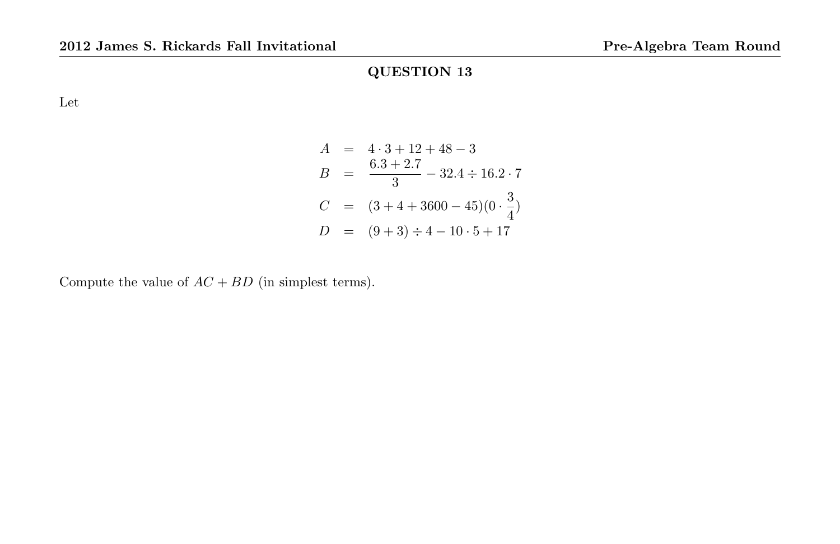Let

$$
A = 4 \cdot 3 + 12 + 48 - 3
$$
  
\n
$$
B = \frac{6 \cdot 3 + 2 \cdot 7}{3} - 32 \cdot 4 \div 16 \cdot 2 \cdot 7
$$
  
\n
$$
C = (3 + 4 + 3600 - 45)(0 \cdot \frac{3}{4})
$$
  
\n
$$
D = (9 + 3) \div 4 - 10 \cdot 5 + 17
$$

Compute the value of  $AC + BD$  (in simplest terms).